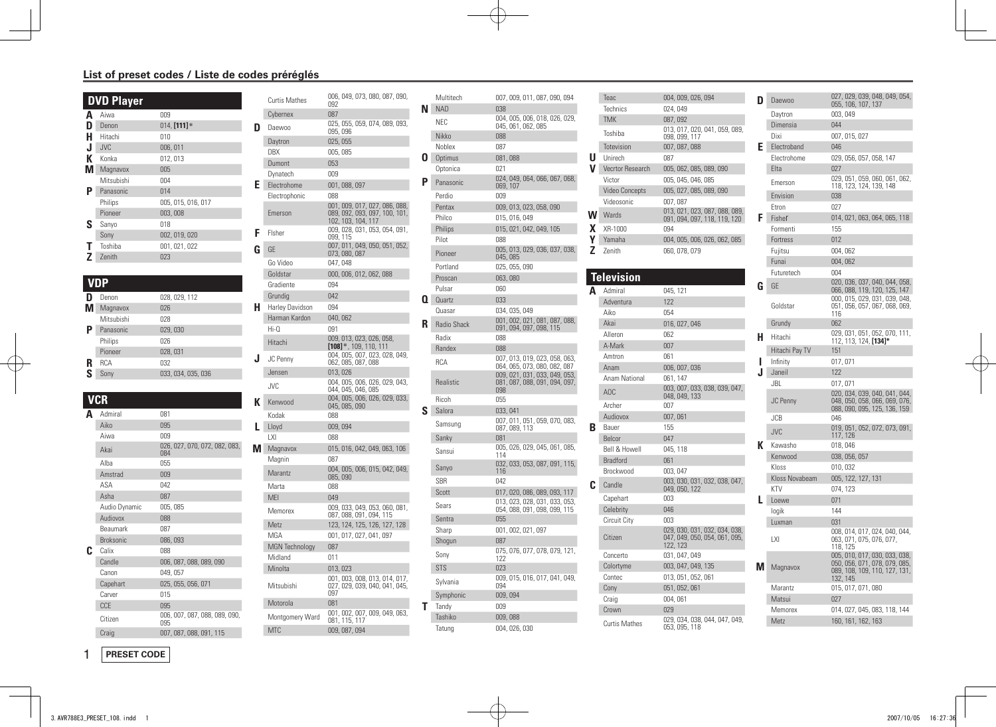## **List of preset codes / Liste de codes préréglés**

|   | <b>DVD Player</b> |                    |
|---|-------------------|--------------------|
| А | Aiwa              | 009                |
| D | Denon             | $014,$ [111]*      |
| н | Hitachi           | 010                |
| J | <b>JVC</b>        | 006, 011           |
| к | Konka             | 012, 013           |
| м | Magnavox          | 005                |
|   | Mitsubishi        | 004                |
| Ρ | Panasonic         | 014                |
|   | Philips           | 005, 015, 016, 017 |
|   | Pioneer           | 003,008            |
| s | Sanyo             | 018                |
|   | Sony              | 002, 019, 020      |
|   | Toshiba           | 001, 021, 022      |
|   | Zenith            | 023                |

## **VDP**

|   | Denon      | 028, 029, 112      |
|---|------------|--------------------|
|   | Magnavox   | 026                |
|   | Mitsubishi | 028                |
| Р | Panasonic  | 029, 030           |
|   | Philips    | 026                |
|   | Pioneer    | 028,031            |
| R | <b>RCA</b> | 032                |
| ς | Sonv       | 033, 034, 035, 036 |
|   |            |                    |

## **VCR A** Admiral 081<br>Aiko 095 Aiko Aiwa 009 Akai 026, 027, 070, 072, 082, 083, 084 Alba 055<br>Amstrad 009 Amstrad ASA 042 Asha 087 Audio Dynamic 005, 085 Audiovox 088 Beaumark 087 Broksonic 086, 093 **C** Calix 088<br>Candle 006, 006, 087, 088, 089, 090 Canon 049, 057 Capehart 025, 055, 056, 071 Carver 015 CCE 095 Citizen 006, 007, 087, 088, 089, 090, 095 Craig 007, 087, 088, 091, 115

|   | <b>Curtis Mathes</b>  | 006, 049, 073, 080, 087, 090,<br>092                                                 |
|---|-----------------------|--------------------------------------------------------------------------------------|
|   | Cybernex              | 087                                                                                  |
| D | Daewoo                | 025, 055, 059, 074, 089, 093,<br>095, 096                                            |
|   | Daytron               | 025, 055                                                                             |
|   | DBX                   | 005, 085                                                                             |
|   | Dumont                | 053                                                                                  |
|   | Dynatech              | 009                                                                                  |
| F | Electrohome           | 001, 088, 097                                                                        |
|   | Electrophonic         | 088                                                                                  |
|   | Emerson               | 001, 009, 017, 027, 086, 088,<br>089, 092, 093, 097, 100, 101,<br>102, 103, 104, 117 |
| F | Fisher                | 009, 028, 031, 053, 054, 091,<br>099, 115                                            |
| G | GE                    | 007, 011, 049, 050, 051, 052,<br>073, 080, 087                                       |
|   | Go Video              | 047, 048                                                                             |
|   | Goldstar              | 000, 006, 012, 062, 088                                                              |
|   | Gradiente             | 094                                                                                  |
|   | Grundig               | 042                                                                                  |
| н | Harley Davidson       | 094                                                                                  |
|   | Harman Kardon         | 040,062                                                                              |
|   | $Hi-0$                | 091                                                                                  |
|   | Hitachi               | 009, 013, 023, 026, 058,<br>$[108]$ *, 109, 110, 111                                 |
| J | <b>JC</b> Penny       | 004, 005, 007, 023, 028, 049,<br>062, 085, 087, 088                                  |
|   | Jensen                | 013,026                                                                              |
|   | <b>JVC</b>            | 004, 005, 006, 026, 029, 043,<br>044, 045, 046, 085                                  |
| К | Kenwood               | 004, 005, 006, 026, 029, 033,<br>045, 085, 090                                       |
|   | Kodak                 | 088                                                                                  |
| L | Lloyd                 | 009,094                                                                              |
|   | I XI                  | 088                                                                                  |
| M | Magnavox              | 015, 016, 042, 049, 063, 106                                                         |
|   | Magnin                | 087                                                                                  |
|   | Marantz               | 004, 005, 006, 015, 042, 049,<br>085,090                                             |
|   | Marta                 | 088                                                                                  |
|   | MEI                   | 049                                                                                  |
|   | Memorex               | 009, 033, 049, 053, 060, 081,<br>087, 088, 091, 094, 115                             |
|   | Metz                  | 123, 124, 125, 126, 127, 128                                                         |
|   | MGA                   | 001, 017, 027, 041, 097                                                              |
|   | <b>MGN Technology</b> | 087                                                                                  |
|   | Midland               | 011                                                                                  |
|   | Minolta               | 013, 023                                                                             |
|   | Mitsubishi            | 001, 003, 008, 013, 014, 017,<br>027, 029, 039, 040, 041, 045,<br>097                |
|   | Motorola              | 081                                                                                  |
|   | Montgomery Ward       | 001, 002, 007, 009, 049, 063,<br>081, 115, 117                                       |
|   | MT <sub>C</sub>       | 009, 087, 094                                                                        |

|    | Multitech   | 007, 009, 011, 087, 090, 094                                          |
|----|-------------|-----------------------------------------------------------------------|
| N. | <b>NAD</b>  | 038                                                                   |
|    | NEC         | 004, 005, 006, 018, 026, 029,<br>045, 061, 062, 085                   |
|    | Nikko       | 088                                                                   |
|    | Noblex      | 087                                                                   |
| 0  | Optimus     | 081,088                                                               |
|    | Optonica    | 021                                                                   |
| P  | Panasonic   | 024, 049, 064, 066, 067, 068,<br>069, 107                             |
|    | Perdio      | 009                                                                   |
|    | Pentax      | 009, 013, 023, 058, 090                                               |
|    | Philco      | 015, 016, 049                                                         |
|    | Philips     | 015, 021, 042, 049, 105                                               |
|    | Pilot       | 088                                                                   |
|    | Pioneer     | 005, 013, 029, 036, 037, 038,<br>045, 085                             |
|    | Portland    | 025, 055, 090                                                         |
|    | Proscan     | 063,080                                                               |
|    | Pulsar      | 060                                                                   |
| Q  | Quartz      | 033                                                                   |
|    | Quasar      | 034, 035, 049<br>001, 002, 021, 081, 087, 088,                        |
| R  | Radio Shack | 091, 094, 097, 098, 115                                               |
|    | Radix       | 088                                                                   |
|    | Randex      | 088                                                                   |
|    | <b>RCA</b>  | 007, 013, 019, 023, 058, 063,<br>064, 065, 073, 080, 082, 087         |
|    | Realistic   | 009, 021, 031, 033, 049, 053,<br>081, 087, 088, 091, 094, 097,<br>098 |
|    | Ricoh       | 055                                                                   |
| S  | Salora      | 033, 041                                                              |
|    | Samsung     | 007, 011, 051, 059, 070, 083, 087, 089,                               |
|    | Sanky       | 081                                                                   |
|    | Sansui      | 005, 026, 029, 045, 061, 085,<br>114                                  |
|    | Sanyo       | 032, 033, 053, 087, 091, 115,<br>116                                  |
|    | <b>SBR</b>  | 042                                                                   |
|    | Scott       | 017, 020, 086, 089, 093, 117                                          |
|    | Sears       | 013, 023, 028, 031, 033, 053,<br>054, 088, 091, 098, 099, 115         |
|    | Sentra      | 055                                                                   |
|    | Sharp       | 001, 002, 021, 097                                                    |
|    | Shogun      | 087                                                                   |
|    | Sony        | 075, 076, 077, 078, 079, 121,<br>122                                  |
|    | <b>STS</b>  | 023                                                                   |
|    | Sylvania    | 009, 015, 016, 017, 041, 049,<br>094                                  |
|    | Symphonic   | 009, 094                                                              |
| т  | Tandy       | 009                                                                   |
|    | Tashiko     | 009,088                                                               |
|    | Tatung      | 004, 026, 030                                                         |

|   | Teac                     | 004, 009, 026, 094                          | D | C            |
|---|--------------------------|---------------------------------------------|---|--------------|
|   | Technics                 | 024,049                                     |   | D            |
|   | <b>TMK</b>               | 087,092                                     |   | C            |
|   | Toshiba                  | 013, 017, 020, 041, 059, 089,               |   | D            |
|   | Totevision               | 098, 099, 117<br>007, 087, 088              | F | E            |
| U | Unirech                  | 087                                         |   | E            |
| v | <b>Vecrtor Research</b>  | 005, 062, 085, 089, 090                     |   | E            |
|   | Victor                   | 005, 045, 046, 085                          |   | E            |
|   | <b>Video Concepts</b>    | 005, 027, 085, 089, 090                     |   |              |
|   | Videosonic               | 007,087                                     |   | E            |
| W | Wards                    | 013, 021, 023, 087, 088, 089,               |   | E            |
|   |                          | 091, 094, 097, 118, 119, 120                | F | F            |
| x | XR-1000                  | 094                                         |   | F            |
| γ | Yamaha                   | 004, 005, 006, 026, 062, 085                |   | F            |
| Z | Zenith                   | 060, 078, 079                               |   | F            |
|   |                          |                                             |   | F            |
|   | <b>Television</b>        |                                             |   | F            |
| A | Admiral                  | 045, 121                                    | G | C            |
|   | Adventura                | 122                                         |   |              |
|   | Aiko                     | 054                                         |   | G            |
|   | Akai                     | 016, 027, 046                               |   | G            |
|   | Alleron                  | 062                                         | Н | ŀ            |
|   | A-Mark                   | 007                                         |   | ŀ            |
|   | Amtron                   | 061                                         | ı | ŀ            |
|   | Anam                     | 006, 007, 036                               | J | J            |
|   | Anam National            | 061, 147                                    |   | J            |
|   | AOC                      | 003, 007, 033, 038, 039, 047, 048, 049, 133 |   |              |
|   | Archer                   | 007                                         |   | J            |
|   | Audiovox                 | 007,061                                     |   | J            |
| B | Bauer                    | 155                                         |   |              |
|   | Belcor                   | 047                                         |   | J            |
|   | <b>Bell &amp; Howell</b> | 045, 118                                    | К | $\mathsf{k}$ |
|   | <b>Bradford</b>          | 061                                         |   | ķ            |
|   | Brockwood                | 003, 047                                    |   | ķ            |
| C | Candle                   | 003, 030, 031, 032, 038, 047, 049, 050, 122 |   | ķ            |
|   | Capehart                 | 003                                         |   | k            |
|   | Celebrity                | 046                                         |   | L            |
|   | Circuit City             | 003                                         |   | ŀ            |
|   |                          | 029, 030, 031, 032, 034, 038,               |   | L            |
|   | Citizen                  | 047, 049, 050, 054, 061, 095,<br>122, 123   |   | L            |
|   | Concerto                 | 031, 047, 049                               |   |              |
|   | Colortyme                | 003, 047, 049, 135                          | м |              |
|   | Contec                   | 013, 051, 052, 061                          |   | Ŋ            |
|   | Cony                     | 051, 052, 061                               |   | Ν            |
|   | Craig                    | 004, 061                                    |   | Ŋ            |
|   | Crown                    | 029                                         |   | Ν            |
|   |                          | 029, 034, 038, 044, 047, 049,               |   | Ŋ            |
|   | <b>Curtis Mathes</b>     | 053, 095, 118                               |   |              |

| D | Daewoo          | 027, 029, 039, 048, 049, 054,<br>055, 106, 107, 137                                                         |
|---|-----------------|-------------------------------------------------------------------------------------------------------------|
|   | Daytron         | 003,049                                                                                                     |
|   | Dimensia        | 044                                                                                                         |
|   | Dixi            | 007, 015, 027                                                                                               |
| E | Electroband     | 046                                                                                                         |
|   | Electrohome     | 029, 056, 057, 058, 147                                                                                     |
|   | Elta            | 027                                                                                                         |
|   | Emerson         | 029, 051, 059, 060, 061, 062,                                                                               |
|   |                 | 118, 123, 124, 139, 148                                                                                     |
|   | Envision        | 038                                                                                                         |
|   | Ftron           | 027                                                                                                         |
| F | Fisher          | 014, 021, 063, 064, 065, 118                                                                                |
|   | Formenti        | 155                                                                                                         |
|   | Fortress        | 012                                                                                                         |
|   | Fujitsu         | 004,062                                                                                                     |
|   | Funai           | 004,062                                                                                                     |
|   | Futuretech      | 004                                                                                                         |
| G | GF              | 020, 036, 037, 040, 044, 058,<br>066, 088, 119, 120, 125, 147                                               |
|   |                 | 000, 015, 029, 031, 039, 048,                                                                               |
|   | Goldstar        | 051, 056, 057, 067, 068, 069,                                                                               |
|   | Grundy          | 116<br>062                                                                                                  |
|   |                 | 029, 031, 051, 052, 070, 111,                                                                               |
| н | Hitachi         | 112, 113, 124, [134]*                                                                                       |
|   | Hitachi Pay TV  | 151                                                                                                         |
| ı | Infinity        | 017,071                                                                                                     |
| J | Janeil          | 122                                                                                                         |
|   | JBI             | 017,071                                                                                                     |
|   | <b>JC Penny</b> | 020, 034, 039, 040, 041, 044,<br>048, 050, 058, 066, 069, 076,<br>088, 090, 095, 125, 136, 159              |
|   | JCB             | 046                                                                                                         |
|   | <b>JVC</b>      | 019, 051, 052, 072, 073, 091,                                                                               |
|   |                 | 117, 126                                                                                                    |
| к | Kawasho         | 018,046                                                                                                     |
|   | Kenwood         | 038, 056, 057                                                                                               |
|   | Kloss           | 010, 032                                                                                                    |
|   | Kloss Novabeam  | 005, 122, 127, 131                                                                                          |
|   | KTV             | 074, 123                                                                                                    |
| L | Loewe           | 071                                                                                                         |
|   | logik           | 144                                                                                                         |
|   | Luxman          | 031                                                                                                         |
|   | LXI             | 008, 014, 017, 024, 040, 044,<br>063, 071, 075, 076, 077,<br>118, 125                                       |
| M | Magnavox        | 005, 010, 017, 030, 033, 038,<br>050, 056, 071, 078, 079, 085,<br>089, 108, 109, 110, 127, 131,<br>132, 145 |
|   | Marantz         | 015, 017, 071, 080                                                                                          |
|   | Matsui          | 027                                                                                                         |
|   | Memorex         | 014, 027, 045, 083, 118, 144                                                                                |
|   | Metz            | 160, 161, 162, 163                                                                                          |
|   |                 |                                                                                                             |